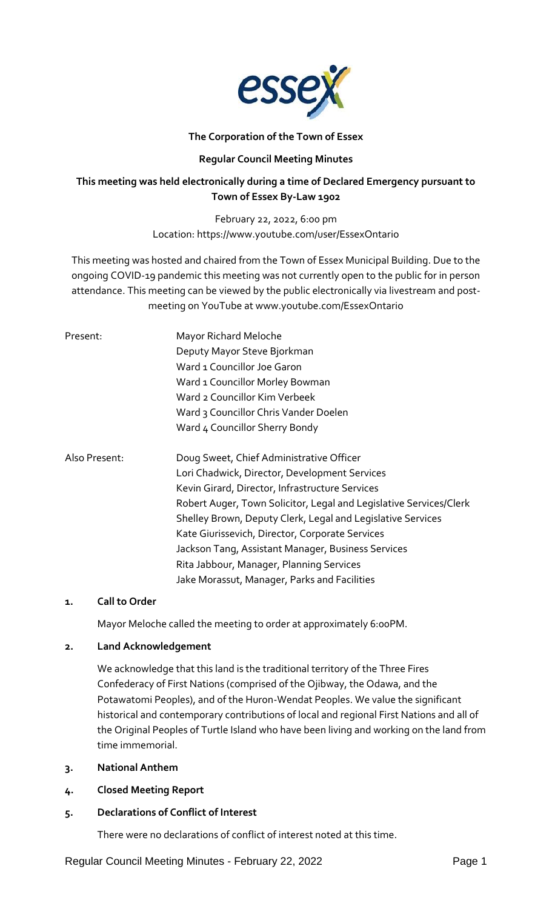

# **The Corporation of the Town of Essex**

# **Regular Council Meeting Minutes**

# **This meeting was held electronically during a time of Declared Emergency pursuant to Town of Essex By-Law 1902**

February 22, 2022, 6:00 pm Location: https://www.youtube.com/user/EssexOntario

This meeting was hosted and chaired from the Town of Essex Municipal Building. Due to the ongoing COVID-19 pandemic this meeting was not currently open to the public for in person attendance. This meeting can be viewed by the public electronically via livestream and postmeeting on YouTube at www.youtube.com/EssexOntario

| Present:      | Mayor Richard Meloche<br>Deputy Mayor Steve Bjorkman<br>Ward 1 Councillor Joe Garon<br>Ward 1 Councillor Morley Bowman<br>Ward 2 Councillor Kim Verbeek<br>Ward 3 Councillor Chris Vander Doelen<br>Ward 4 Councillor Sherry Bondy                                                                                                                                                                                                                                                     |
|---------------|----------------------------------------------------------------------------------------------------------------------------------------------------------------------------------------------------------------------------------------------------------------------------------------------------------------------------------------------------------------------------------------------------------------------------------------------------------------------------------------|
| Also Present: | Doug Sweet, Chief Administrative Officer<br>Lori Chadwick, Director, Development Services<br>Kevin Girard, Director, Infrastructure Services<br>Robert Auger, Town Solicitor, Legal and Legislative Services/Clerk<br>Shelley Brown, Deputy Clerk, Legal and Legislative Services<br>Kate Giurissevich, Director, Corporate Services<br>Jackson Tang, Assistant Manager, Business Services<br>Rita Jabbour, Manager, Planning Services<br>Jake Morassut, Manager, Parks and Facilities |

# **1. Call to Order**

Mayor Meloche called the meeting to order at approximately 6:00PM.

# **2. Land Acknowledgement**

We acknowledge that this land is the traditional territory of the Three Fires Confederacy of First Nations (comprised of the Ojibway, the Odawa, and the Potawatomi Peoples), and of the Huron-Wendat Peoples. We value the significant historical and contemporary contributions of local and regional First Nations and all of the Original Peoples of Turtle Island who have been living and working on the land from time immemorial.

- **3. National Anthem**
- **4. Closed Meeting Report**
- **5. Declarations of Conflict of Interest**

There were no declarations of conflict of interest noted at this time.

Regular Council Meeting Minutes - February 22, 2022 Page 1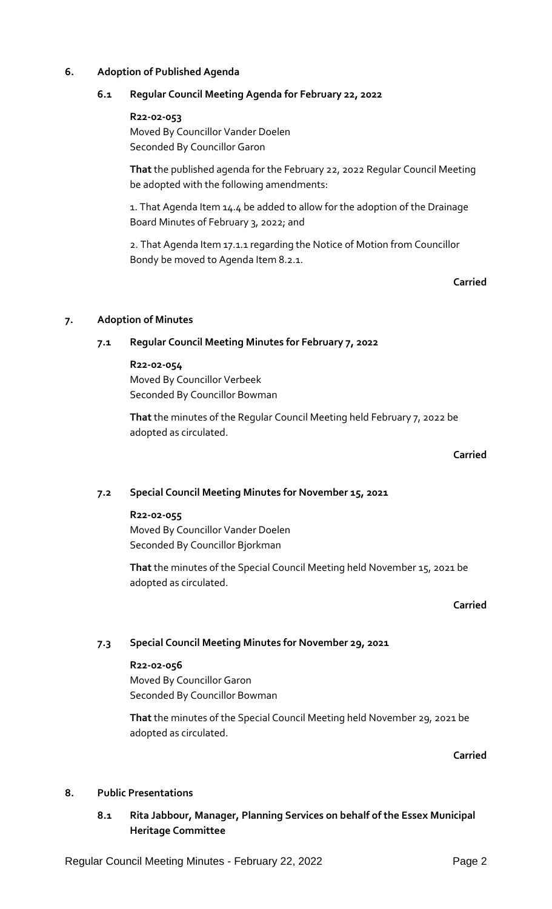# **6. Adoption of Published Agenda**

# **6.1 Regular Council Meeting Agenda for February 22, 2022**

#### **R22-02-053**

Moved By Councillor Vander Doelen Seconded By Councillor Garon

**That** the published agenda for the February 22, 2022 Regular Council Meeting be adopted with the following amendments:

1. That Agenda Item 14.4 be added to allow for the adoption of the Drainage Board Minutes of February 3, 2022; and

2. That Agenda Item 17.1.1 regarding the Notice of Motion from Councillor Bondy be moved to Agenda Item 8.2.1.

### **Carried**

# **7. Adoption of Minutes**

# **7.1 Regular Council Meeting Minutes for February 7, 2022**

### **R22-02-054**

Moved By Councillor Verbeek Seconded By Councillor Bowman

**That** the minutes of the Regular Council Meeting held February 7, 2022 be adopted as circulated.

## **Carried**

# **7.2 Special Council Meeting Minutes for November 15, 2021**

# **R22-02-055**

Moved By Councillor Vander Doelen Seconded By Councillor Bjorkman

**That** the minutes of the Special Council Meeting held November 15, 2021 be adopted as circulated.

#### **Carried**

# **7.3 Special Council Meeting Minutes for November 29, 2021**

# **R22-02-056** Moved By Councillor Garon Seconded By Councillor Bowman

**That** the minutes of the Special Council Meeting held November 29, 2021 be adopted as circulated.

**Carried**

# **8. Public Presentations**

# **8.1 Rita Jabbour, Manager, Planning Services on behalf of the Essex Municipal Heritage Committee**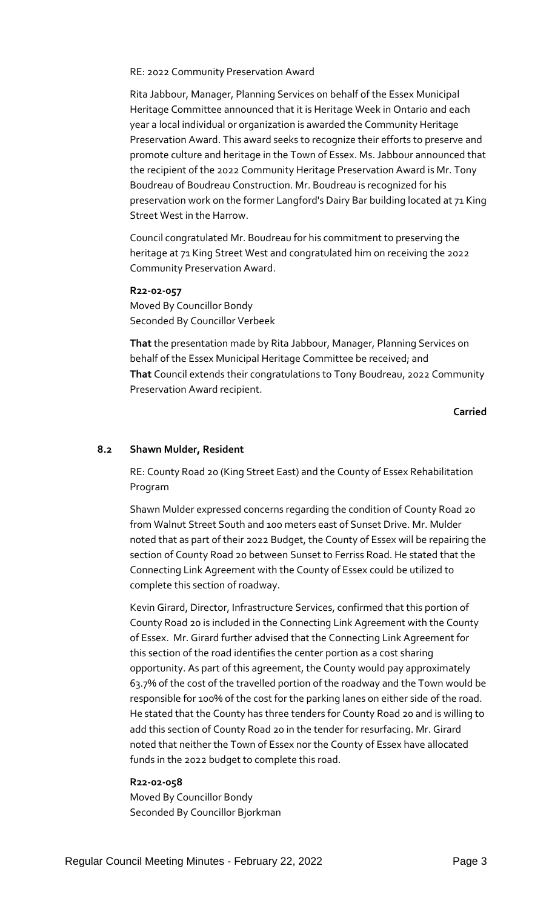RE: 2022 Community Preservation Award

Rita Jabbour, Manager, Planning Services on behalf of the Essex Municipal Heritage Committee announced that it is Heritage Week in Ontario and each year a local individual or organization is awarded the Community Heritage Preservation Award. This award seeks to recognize their efforts to preserve and promote culture and heritage in the Town of Essex. Ms. Jabbour announced that the recipient of the 2022 Community Heritage Preservation Award is Mr. Tony Boudreau of Boudreau Construction. Mr. Boudreau is recognized for his preservation work on the former Langford's Dairy Bar building located at 71 King Street West in the Harrow.

Council congratulated Mr. Boudreau for his commitment to preserving the heritage at 71 King Street West and congratulated him on receiving the 2022 Community Preservation Award.

#### **R22-02-057**

Moved By Councillor Bondy Seconded By Councillor Verbeek

**That** the presentation made by Rita Jabbour, Manager, Planning Services on behalf of the Essex Municipal Heritage Committee be received; and **That** Council extends their congratulations to Tony Boudreau, 2022 Community Preservation Award recipient.

**Carried**

# **8.2 Shawn Mulder, Resident**

RE: County Road 20 (King Street East) and the County of Essex Rehabilitation Program

Shawn Mulder expressed concerns regarding the condition of County Road 20 from Walnut Street South and 100 meters east of Sunset Drive. Mr. Mulder noted that as part of their 2022 Budget, the County of Essex will be repairing the section of County Road 20 between Sunset to Ferriss Road. He stated that the Connecting Link Agreement with the County of Essex could be utilized to complete this section of roadway.

Kevin Girard, Director, Infrastructure Services, confirmed that this portion of County Road 20 is included in the Connecting Link Agreement with the County of Essex. Mr. Girard further advised that the Connecting Link Agreement for this section of the road identifies the center portion as a cost sharing opportunity. As part of this agreement, the County would pay approximately 63.7% of the cost of the travelled portion of the roadway and the Town would be responsible for 100% of the cost for the parking lanes on either side of the road. He stated that the County has three tenders for County Road 20 and is willing to add this section of County Road 20 in the tender for resurfacing. Mr. Girard noted that neither the Town of Essex nor the County of Essex have allocated funds in the 2022 budget to complete this road.

#### **R22-02-058**

Moved By Councillor Bondy Seconded By Councillor Bjorkman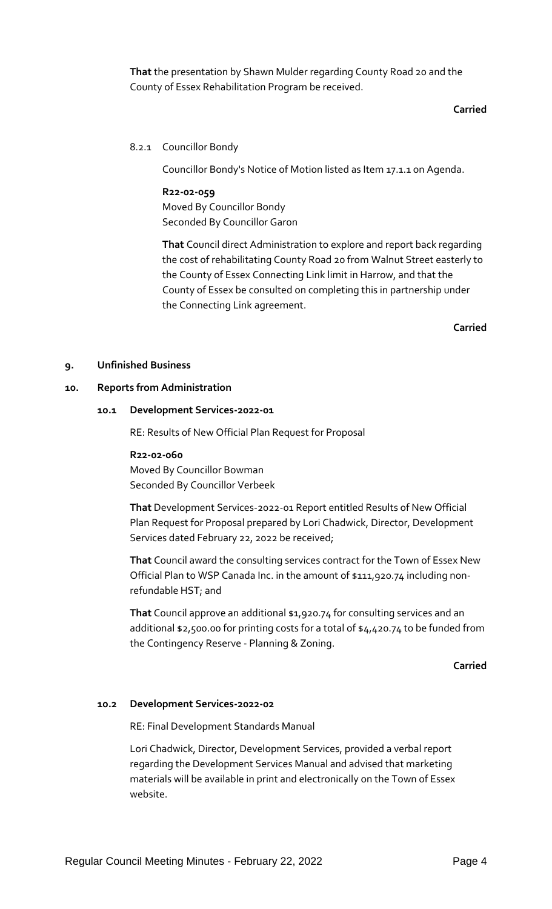**That** the presentation by Shawn Mulder regarding County Road 20 and the County of Essex Rehabilitation Program be received.

## **Carried**

# 8.2.1 Councillor Bondy

Councillor Bondy's Notice of Motion listed as Item 17.1.1 on Agenda.

**R22-02-059** Moved By Councillor Bondy Seconded By Councillor Garon

**That** Council direct Administration to explore and report back regarding the cost of rehabilitating County Road 20 from Walnut Street easterly to the County of Essex Connecting Link limit in Harrow, and that the County of Essex be consulted on completing this in partnership under the Connecting Link agreement.

**Carried**

# **9. Unfinished Business**

### **10. Reports from Administration**

### **10.1 Development Services-2022-01**

RE: Results of New Official Plan Request for Proposal

**R22-02-060** Moved By Councillor Bowman Seconded By Councillor Verbeek

**That** Development Services-2022-01 Report entitled Results of New Official Plan Request for Proposal prepared by Lori Chadwick, Director, Development Services dated February 22, 2022 be received;

**That** Council award the consulting services contract for the Town of Essex New Official Plan to WSP Canada Inc. in the amount of \$111,920.74 including nonrefundable HST; and

**That** Council approve an additional \$1,920.74 for consulting services and an additional \$2,500.00 for printing costs for a total of \$4,420.74 to be funded from the Contingency Reserve - Planning & Zoning.

# **Carried**

# **10.2 Development Services-2022-02**

RE: Final Development Standards Manual

Lori Chadwick, Director, Development Services, provided a verbal report regarding the Development Services Manual and advised that marketing materials will be available in print and electronically on the Town of Essex website.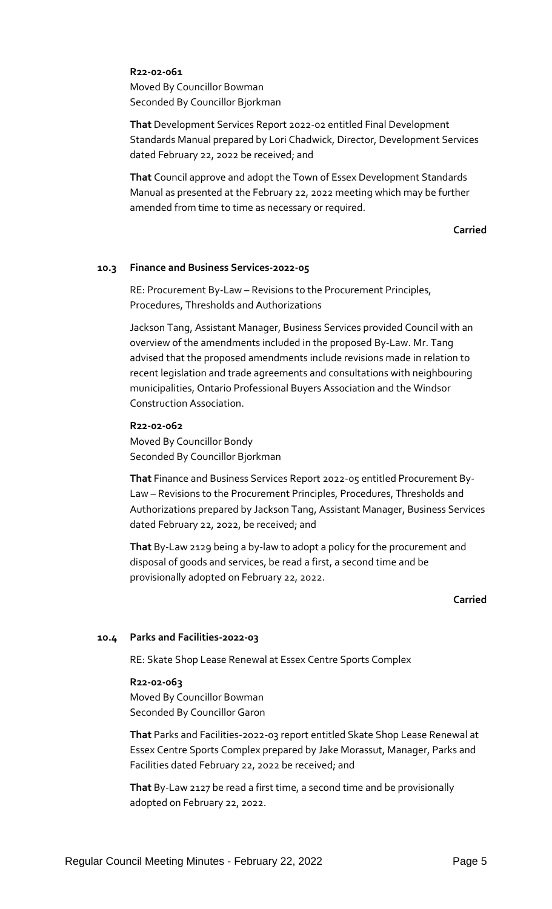# **R22-02-061**

Moved By Councillor Bowman Seconded By Councillor Bjorkman

**That** Development Services Report 2022-02 entitled Final Development Standards Manual prepared by Lori Chadwick, Director, Development Services dated February 22, 2022 be received; and

**That** Council approve and adopt the Town of Essex Development Standards Manual as presented at the February 22, 2022 meeting which may be further amended from time to time as necessary or required.

### **Carried**

### **10.3 Finance and Business Services-2022-05**

RE: Procurement By-Law – Revisions to the Procurement Principles, Procedures, Thresholds and Authorizations

Jackson Tang, Assistant Manager, Business Services provided Council with an overview of the amendments included in the proposed By-Law. Mr. Tang advised that the proposed amendments include revisions made in relation to recent legislation and trade agreements and consultations with neighbouring municipalities, Ontario Professional Buyers Association and the Windsor Construction Association.

# **R22-02-062**

Moved By Councillor Bondy Seconded By Councillor Bjorkman

**That** Finance and Business Services Report 2022-05 entitled Procurement By-Law – Revisions to the Procurement Principles, Procedures, Thresholds and Authorizations prepared by Jackson Tang, Assistant Manager, Business Services dated February 22, 2022, be received; and

**That** By-Law 2129 being a by-law to adopt a policy for the procurement and disposal of goods and services, be read a first, a second time and be provisionally adopted on February 22, 2022.

### **Carried**

# **10.4 Parks and Facilities-2022-03**

RE: Skate Shop Lease Renewal at Essex Centre Sports Complex

#### **R22-02-063**

Moved By Councillor Bowman Seconded By Councillor Garon

**That** Parks and Facilities-2022-03 report entitled Skate Shop Lease Renewal at Essex Centre Sports Complex prepared by Jake Morassut, Manager, Parks and Facilities dated February 22, 2022 be received; and

**That** By-Law 2127 be read a first time, a second time and be provisionally adopted on February 22, 2022.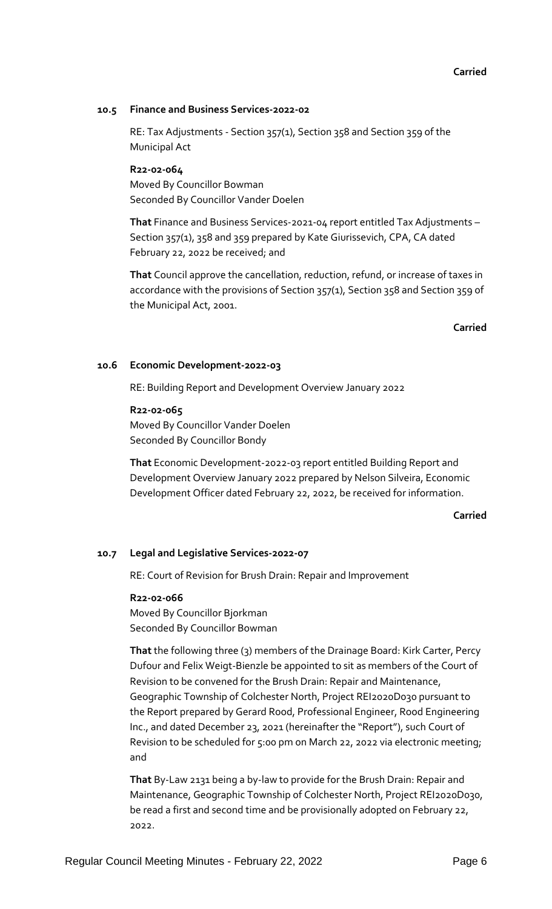## **Carried**

## **10.5 Finance and Business Services-2022-02**

RE: Tax Adjustments - Section 357(1), Section 358 and Section 359 of the Municipal Act

**R22-02-064** Moved By Councillor Bowman Seconded By Councillor Vander Doelen

**That** Finance and Business Services-2021-04 report entitled Tax Adjustments – Section 357(1), 358 and 359 prepared by Kate Giurissevich, CPA, CA dated February 22, 2022 be received; and

**That** Council approve the cancellation, reduction, refund, or increase of taxes in accordance with the provisions of Section 357(1), Section 358 and Section 359 of the Municipal Act, 2001.

### **Carried**

### **10.6 Economic Development-2022-03**

RE: Building Report and Development Overview January 2022

**R22-02-065** Moved By Councillor Vander Doelen Seconded By Councillor Bondy

**That** Economic Development-2022-03 report entitled Building Report and Development Overview January 2022 prepared by Nelson Silveira, Economic Development Officer dated February 22, 2022, be received for information.

# **Carried**

# **10.7 Legal and Legislative Services-2022-07**

RE: Court of Revision for Brush Drain: Repair and Improvement

#### **R22-02-066**

Moved By Councillor Bjorkman Seconded By Councillor Bowman

**That** the following three (3) members of the Drainage Board: Kirk Carter, Percy Dufour and Felix Weigt-Bienzle be appointed to sit as members of the Court of Revision to be convened for the Brush Drain: Repair and Maintenance, Geographic Township of Colchester North, Project REI2020D030 pursuant to the Report prepared by Gerard Rood, Professional Engineer, Rood Engineering Inc., and dated December 23, 2021 (hereinafter the "Report"), such Court of Revision to be scheduled for 5:00 pm on March 22, 2022 via electronic meeting; and

**That** By-Law 2131 being a by-law to provide for the Brush Drain: Repair and Maintenance, Geographic Township of Colchester North, Project REI2020D030, be read a first and second time and be provisionally adopted on February 22, 2022.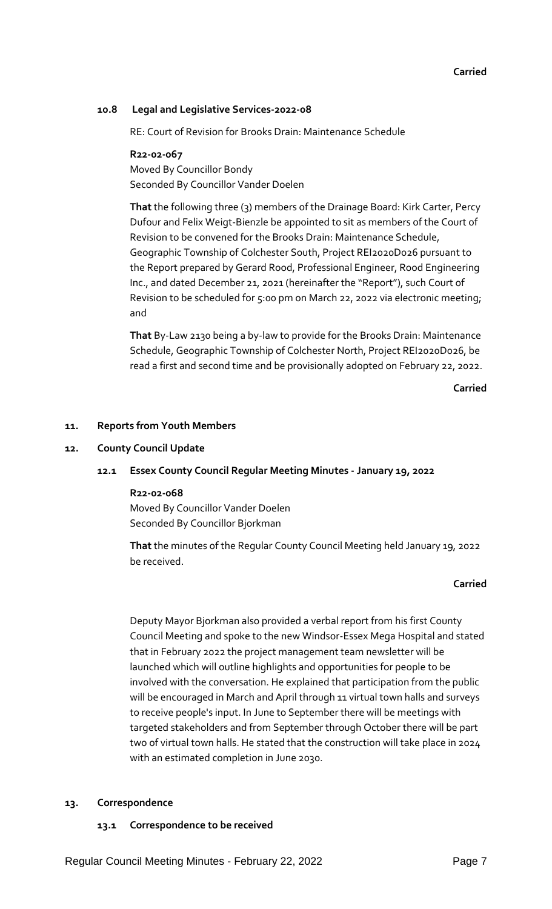# **Carried**

# **10.8 Legal and Legislative Services-2022-08**

RE: Court of Revision for Brooks Drain: Maintenance Schedule

# **R22-02-067**

Moved By Councillor Bondy Seconded By Councillor Vander Doelen

**That** the following three (3) members of the Drainage Board: Kirk Carter, Percy Dufour and Felix Weigt-Bienzle be appointed to sit as members of the Court of Revision to be convened for the Brooks Drain: Maintenance Schedule, Geographic Township of Colchester South, Project REI2020D026 pursuant to the Report prepared by Gerard Rood, Professional Engineer, Rood Engineering Inc., and dated December 21, 2021 (hereinafter the "Report"), such Court of Revision to be scheduled for 5:00 pm on March 22, 2022 via electronic meeting; and

**That** By-Law 2130 being a by-law to provide for the Brooks Drain: Maintenance Schedule, Geographic Township of Colchester North, Project REI2020D026, be read a first and second time and be provisionally adopted on February 22, 2022.

**Carried**

# **11. Reports from Youth Members**

# **12. County Council Update**

# **12.1 Essex County Council Regular Meeting Minutes - January 19, 2022**

# **R22-02-068**

Moved By Councillor Vander Doelen Seconded By Councillor Bjorkman

**That** the minutes of the Regular County Council Meeting held January 19, 2022 be received.

# **Carried**

Deputy Mayor Bjorkman also provided a verbal report from his first County Council Meeting and spoke to the new Windsor-Essex Mega Hospital and stated that in February 2022 the project management team newsletter will be launched which will outline highlights and opportunities for people to be involved with the conversation. He explained that participation from the public will be encouraged in March and April through 11 virtual town halls and surveys to receive people's input. In June to September there will be meetings with targeted stakeholders and from September through October there will be part two of virtual town halls. He stated that the construction will take place in 2024 with an estimated completion in June 2030.

# **13. Correspondence**

# **13.1 Correspondence to be received**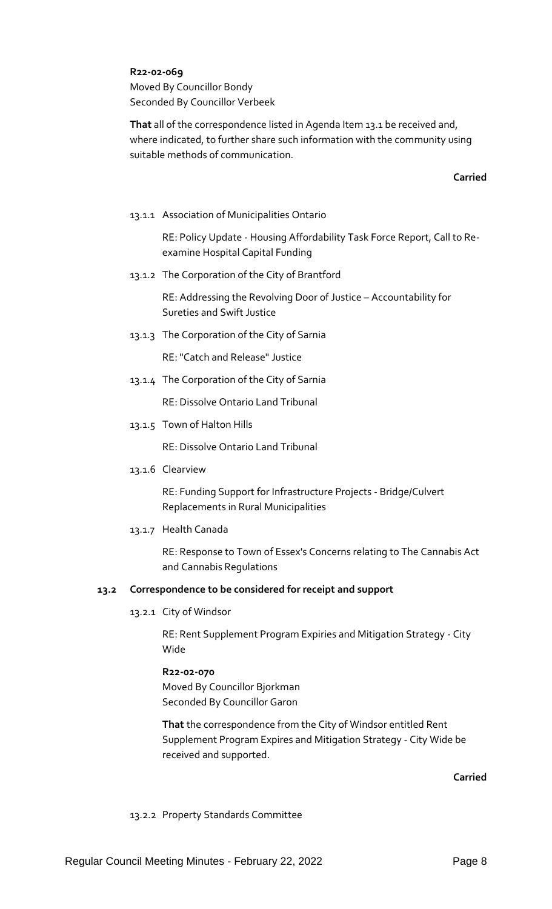# **R22-02-069**

Moved By Councillor Bondy Seconded By Councillor Verbeek

**That** all of the correspondence listed in Agenda Item 13.1 be received and, where indicated, to further share such information with the community using suitable methods of communication.

# **Carried**

13.1.1 Association of Municipalities Ontario

RE: Policy Update - Housing Affordability Task Force Report, Call to Reexamine Hospital Capital Funding

13.1.2 The Corporation of the City of Brantford

RE: Addressing the Revolving Door of Justice – Accountability for Sureties and Swift Justice

13.1.3 The Corporation of the City of Sarnia

RE: "Catch and Release" Justice

13.1.4 The Corporation of the City of Sarnia

RE: Dissolve Ontario Land Tribunal

13.1.5 Town of Halton Hills

RE: Dissolve Ontario Land Tribunal

13.1.6 Clearview

RE: Funding Support for Infrastructure Projects - Bridge/Culvert Replacements in Rural Municipalities

13.1.7 Health Canada

RE: Response to Town of Essex's Concerns relating to The Cannabis Act and Cannabis Regulations

# **13.2 Correspondence to be considered for receipt and support**

13.2.1 City of Windsor

RE: Rent Supplement Program Expiries and Mitigation Strategy - City Wide

# **R22-02-070**

Moved By Councillor Bjorkman Seconded By Councillor Garon

**That** the correspondence from the City of Windsor entitled Rent Supplement Program Expires and Mitigation Strategy - City Wide be received and supported.

**Carried**

# 13.2.2 Property Standards Committee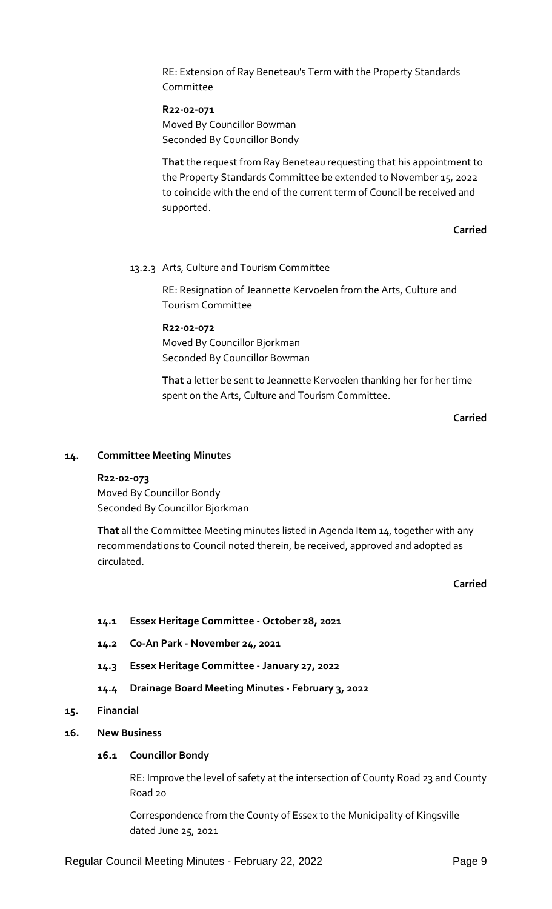RE: Extension of Ray Beneteau's Term with the Property Standards Committee

**R22-02-071** Moved By Councillor Bowman Seconded By Councillor Bondy

**That** the request from Ray Beneteau requesting that his appointment to the Property Standards Committee be extended to November 15, 2022 to coincide with the end of the current term of Council be received and supported.

# **Carried**

## 13.2.3 Arts, Culture and Tourism Committee

RE: Resignation of Jeannette Kervoelen from the Arts, Culture and Tourism Committee

**R22-02-072** Moved By Councillor Bjorkman Seconded By Councillor Bowman

**That** a letter be sent to Jeannette Kervoelen thanking her for her time spent on the Arts, Culture and Tourism Committee.

# **Carried**

#### **14. Committee Meeting Minutes**

# **R22-02-073**

Moved By Councillor Bondy Seconded By Councillor Bjorkman

**That** all the Committee Meeting minutes listed in Agenda Item 14, together with any recommendations to Council noted therein, be received, approved and adopted as circulated.

## **Carried**

# **14.1 Essex Heritage Committee - October 28, 2021**

- **14.2 Co-An Park - November 24, 2021**
- **14.3 Essex Heritage Committee - January 27, 2022**
- **14.4 Drainage Board Meeting Minutes - February 3, 2022**

# **15. Financial**

#### **16. New Business**

# **16.1 Councillor Bondy**

RE: Improve the level of safety at the intersection of County Road 23 and County Road 20

Correspondence from the County of Essex to the Municipality of Kingsville dated June 25, 2021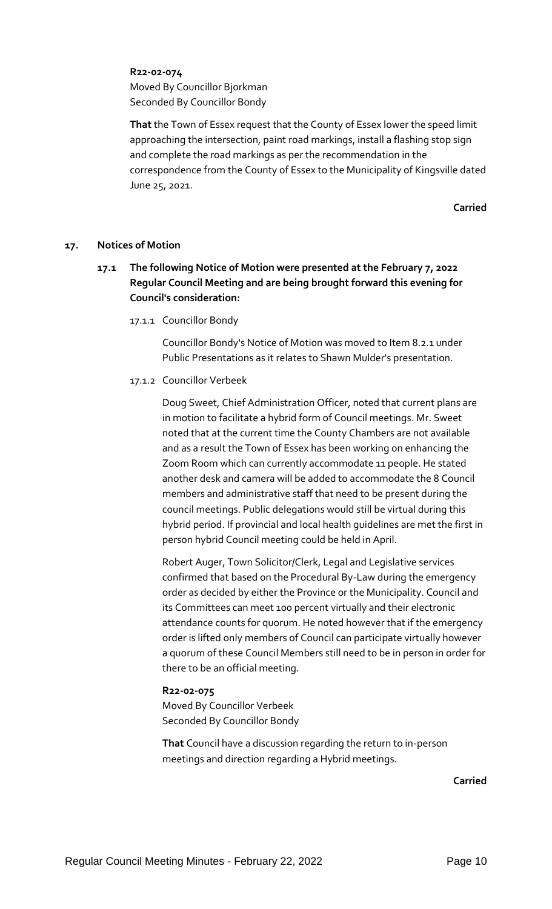# **R22-02-074**

Moved By Councillor Bjorkman Seconded By Councillor Bondy

**That** the Town of Essex request that the County of Essex lower the speed limit approaching the intersection, paint road markings, install a flashing stop sign and complete the road markings as per the recommendation in the correspondence from the County of Essex to the Municipality of Kingsville dated June 25, 2021.

**Carried**

# **17. Notices of Motion**

- **17.1 The following Notice of Motion were presented at the February 7, 2022 Regular Council Meeting and are being brought forward this evening for Council's consideration:**
	- 17.1.1 Councillor Bondy

Councillor Bondy's Notice of Motion was moved to Item 8.2.1 under Public Presentations as it relates to Shawn Mulder's presentation.

# 17.1.2 Councillor Verbeek

Doug Sweet, Chief Administration Officer, noted that current plans are in motion to facilitate a hybrid form of Council meetings. Mr. Sweet noted that at the current time the County Chambers are not available and as a result the Town of Essex has been working on enhancing the Zoom Room which can currently accommodate 11 people. He stated another desk and camera will be added to accommodate the 8 Council members and administrative staff that need to be present during the council meetings. Public delegations would still be virtual during this hybrid period. If provincial and local health guidelines are met the first in person hybrid Council meeting could be held in April.

Robert Auger, Town Solicitor/Clerk, Legal and Legislative services confirmed that based on the Procedural By-Law during the emergency order as decided by either the Province or the Municipality. Council and its Committees can meet 100 percent virtually and their electronic attendance counts for quorum. He noted however that if the emergency order is lifted only members of Council can participate virtually however a quorum of these Council Members still need to be in person in order for there to be an official meeting.

# **R22-02-075**

Moved By Councillor Verbeek Seconded By Councillor Bondy

**That** Council have a discussion regarding the return to in-person meetings and direction regarding a Hybrid meetings.

**Carried**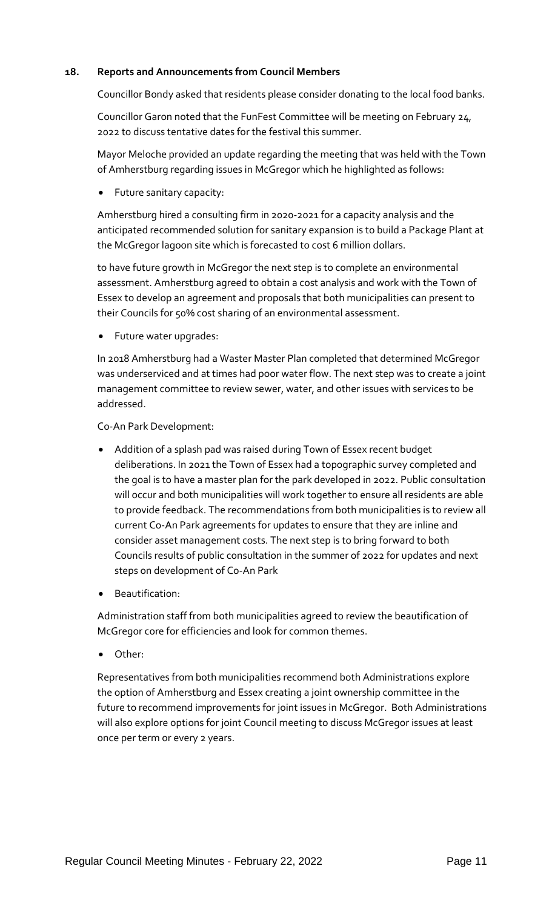# **18. Reports and Announcements from Council Members**

Councillor Bondy asked that residents please consider donating to the local food banks.

Councillor Garon noted that the FunFest Committee will be meeting on February 24, 2022 to discuss tentative dates for the festival this summer.

Mayor Meloche provided an update regarding the meeting that was held with the Town of Amherstburg regarding issues in McGregor which he highlighted as follows:

Future sanitary capacity:

Amherstburg hired a consulting firm in 2020-2021 for a capacity analysis and the anticipated recommended solution for sanitary expansion is to build a Package Plant at the McGregor lagoon site which is forecasted to cost 6 million dollars.

to have future growth in McGregor the next step is to complete an environmental assessment. Amherstburg agreed to obtain a cost analysis and work with the Town of Essex to develop an agreement and proposals that both municipalities can present to their Councils for 50% cost sharing of an environmental assessment.

Future water upgrades:

In 2018 Amherstburg had a Waster Master Plan completed that determined McGregor was underserviced and at times had poor water flow. The next step was to create a joint management committee to review sewer, water, and other issues with services to be addressed.

Co-An Park Development:

- Addition of a splash pad was raised during Town of Essex recent budget deliberations. In 2021 the Town of Essex had a topographic survey completed and the goal is to have a master plan for the park developed in 2022. Public consultation will occur and both municipalities will work together to ensure all residents are able to provide feedback. The recommendations from both municipalities is to review all current Co-An Park agreements for updates to ensure that they are inline and consider asset management costs. The next step is to bring forward to both Councils results of public consultation in the summer of 2022 for updates and next steps on development of Co-An Park
- Beautification:

Administration staff from both municipalities agreed to review the beautification of McGregor core for efficiencies and look for common themes.

Other:

Representatives from both municipalities recommend both Administrations explore the option of Amherstburg and Essex creating a joint ownership committee in the future to recommend improvements for joint issues in McGregor. Both Administrations will also explore options for joint Council meeting to discuss McGregor issues at least once per term or every 2 years.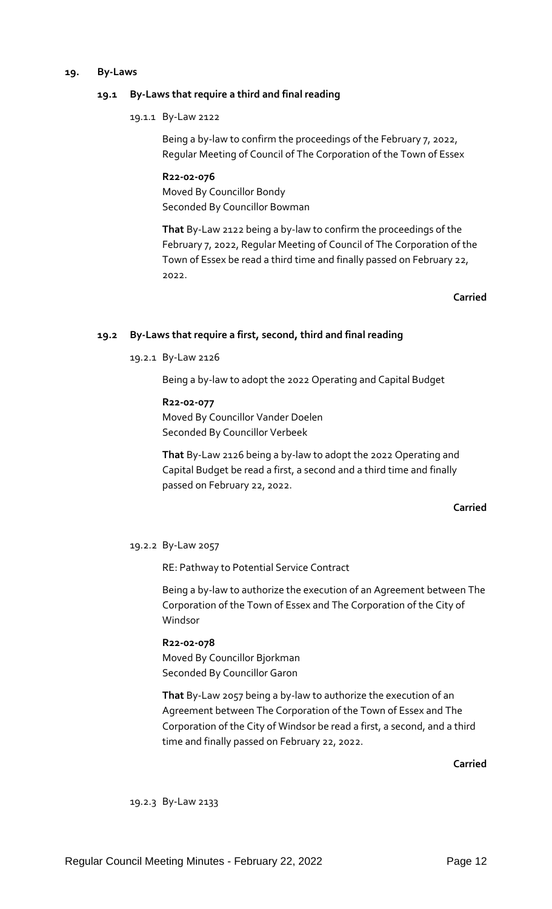#### **19. By-Laws**

# **19.1 By-Laws that require a third and final reading**

19.1.1 By-Law 2122

Being a by-law to confirm the proceedings of the February 7, 2022, Regular Meeting of Council of The Corporation of the Town of Essex

**R22-02-076** Moved By Councillor Bondy Seconded By Councillor Bowman

**That** By-Law 2122 being a by-law to confirm the proceedings of the February 7, 2022, Regular Meeting of Council of The Corporation of the Town of Essex be read a third time and finally passed on February 22, 2022.

# **Carried**

# **19.2 By-Laws that require a first, second, third and final reading**

19.2.1 By-Law 2126

Being a by-law to adopt the 2022 Operating and Capital Budget

**R22-02-077**

Moved By Councillor Vander Doelen Seconded By Councillor Verbeek

**That** By-Law 2126 being a by-law to adopt the 2022 Operating and Capital Budget be read a first, a second and a third time and finally passed on February 22, 2022.

# **Carried**

#### 19.2.2 By-Law 2057

RE: Pathway to Potential Service Contract

Being a by-law to authorize the execution of an Agreement between The Corporation of the Town of Essex and The Corporation of the City of Windsor

# **R22-02-078**

Moved By Councillor Bjorkman Seconded By Councillor Garon

**That** By-Law 2057 being a by-law to authorize the execution of an Agreement between The Corporation of the Town of Essex and The Corporation of the City of Windsor be read a first, a second, and a third time and finally passed on February 22, 2022.

**Carried**

19.2.3 By-Law 2133